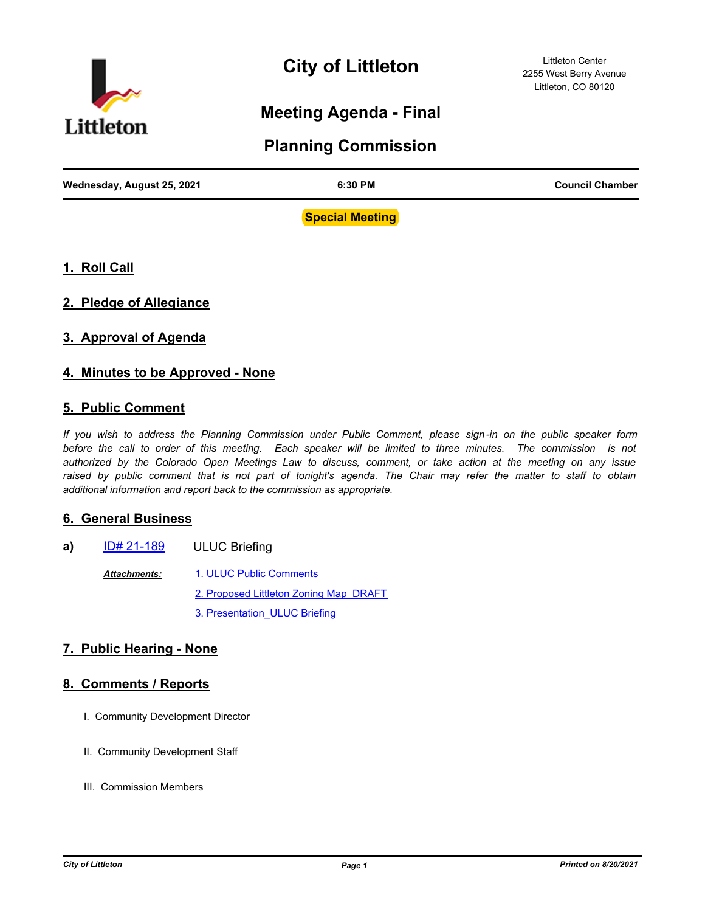

# **City of Littleton**

Littleton Center 2255 West Berry Avenue Littleton, CO 80120

## **Meeting Agenda - Final**

### **Planning Commission**

| Wednesday, August 25, 2021 | 6:30 PM | <b>Council Chamber</b> |
|----------------------------|---------|------------------------|
|                            |         |                        |

**Special Meeting**

- **1. Roll Call**
- **2. Pledge of Allegiance**
- **3. Approval of Agenda**

#### **4. Minutes to be Approved - None**

#### **5. Public Comment**

*If you wish to address the Planning Commission under Public Comment, please sign -in on the public speaker form*  before the call to order of this meeting. Each speaker will be limited to three minutes. The commission is not *authorized by the Colorado Open Meetings Law to discuss, comment, or take action at the meeting on any issue*  raised by public comment that is not part of tonight's agenda. The Chair may refer the matter to staff to obtain *additional information and report back to the commission as appropriate.*

#### **6. General Business**

- **a)** [ID# 21-189](http://littletongov.legistar.com/gateway.aspx?m=l&id=/matter.aspx?key=5099) ULUC Briefing
	- [1. ULUC Public Comments](http://littletongov.legistar.com/gateway.aspx?M=F&ID=b8305e9b-0a74-41d3-9733-6bc73e4eb2b3.pdf) [2. Proposed Littleton Zoning Map\\_DRAFT](http://littletongov.legistar.com/gateway.aspx?M=F&ID=b9b39f7f-e2ff-4f85-8996-72d62a224679.pdf) 3. Presentation ULUC Briefing *Attachments:*

#### **7. Public Hearing - None**

#### **8. Comments / Reports**

- I. Community Development Director
- II. Community Development Staff
- III. Commission Members